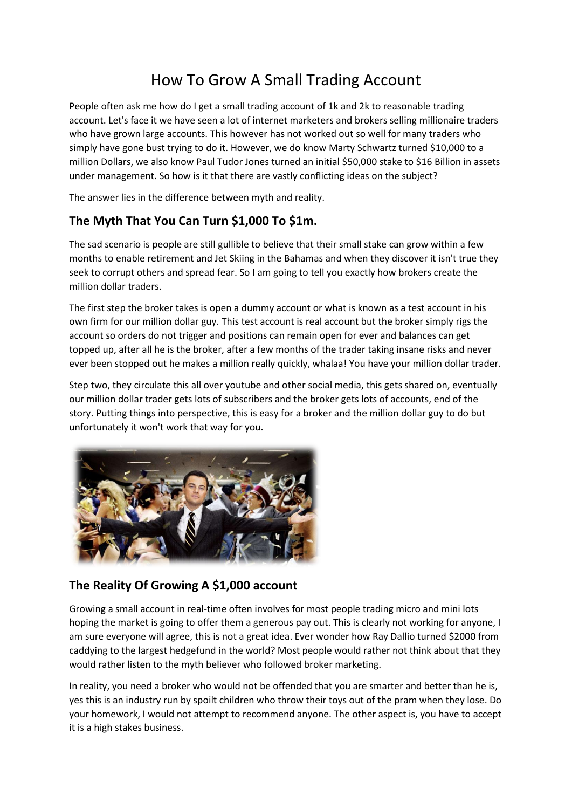## How To Grow A Small Trading Account

People often ask me how do I get a small trading account of 1k and 2k to reasonable trading account. Let's face it we have seen a lot of internet marketers and brokers selling millionaire traders who have grown large accounts. This however has not worked out so well for many traders who simply have gone bust trying to do it. However, we do know Marty Schwartz turned \$10,000 to a million Dollars, we also know Paul Tudor Jones turned an initial \$50,000 stake to \$16 Billion in assets under management. So how is it that there are vastly conflicting ideas on the subject?

The answer lies in the difference between myth and reality.

## **The Myth That You Can Turn \$1,000 To \$1m.**

The sad scenario is people are still gullible to believe that their small stake can grow within a few months to enable retirement and Jet Skiing in the Bahamas and when they discover it isn't true they seek to corrupt others and spread fear. So I am going to tell you exactly how brokers create the million dollar traders.

The first step the broker takes is open a dummy account or what is known as a test account in his own firm for our million dollar guy. This test account is real account but the broker simply rigs the account so orders do not trigger and positions can remain open for ever and balances can get topped up, after all he is the broker, after a few months of the trader taking insane risks and never ever been stopped out he makes a million really quickly, whalaa! You have your million dollar trader.

Step two, they circulate this all over youtube and other social media, this gets shared on, eventually our million dollar trader gets lots of subscribers and the broker gets lots of accounts, end of the story. Putting things into perspective, this is easy for a broker and the million dollar guy to do but unfortunately it won't work that way for you.



## **The Reality Of Growing A \$1,000 account**

Growing a small account in real-time often involves for most people trading micro and mini lots hoping the market is going to offer them a generous pay out. This is clearly not working for anyone, I am sure everyone will agree, this is not a great idea. Ever wonder how Ray Dallio turned \$2000 from caddying to the largest hedgefund in the world? Most people would rather not think about that they would rather listen to the myth believer who followed broker marketing.

In reality, you need a broker who would not be offended that you are smarter and better than he is, yes this is an industry run by spoilt children who throw their toys out of the pram when they lose. Do your homework, I would not attempt to recommend anyone. The other aspect is, you have to accept it is a high stakes business.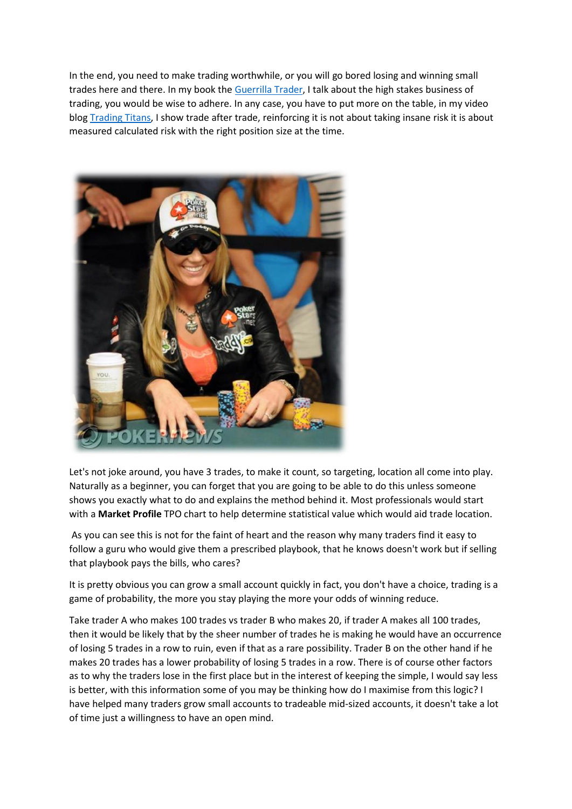In the end, you need to make trading worthwhile, or you will go bored losing and winning small trades here and there. In my book the [Guerrilla Trader,](https://www.amazon.co.uk/Guerrilla-Trader-Traders-Practical-Tracking-ebook/dp/B01C7B1TPE) I talk about the high stakes business of trading, you would be wise to adhere. In any case, you have to put more on the table, in my video blog [Trading Titans,](https://www.marketprofile.org/trading-titans-podcasts/?source=art) I show trade after trade, reinforcing it is not about taking insane risk it is about measured calculated risk with the right position size at the time.



Let's not joke around, you have 3 trades, to make it count, so targeting, location all come into play. Naturally as a beginner, you can forget that you are going to be able to do this unless someone shows you exactly what to do and explains the method behind it. Most professionals would start with a **Market Profile** TPO chart to help determine statistical value which would aid trade location.

As you can see this is not for the faint of heart and the reason why many traders find it easy to follow a guru who would give them a prescribed playbook, that he knows doesn't work but if selling that playbook pays the bills, who cares?

It is pretty obvious you can grow a small account quickly in fact, you don't have a choice, trading is a game of probability, the more you stay playing the more your odds of winning reduce.

Take trader A who makes 100 trades vs trader B who makes 20, if trader A makes all 100 trades, then it would be likely that by the sheer number of trades he is making he would have an occurrence of losing 5 trades in a row to ruin, even if that as a rare possibility. Trader B on the other hand if he makes 20 trades has a lower probability of losing 5 trades in a row. There is of course other factors as to why the traders lose in the first place but in the interest of keeping the simple, I would say less is better, with this information some of you may be thinking how do I maximise from this logic? I have helped many traders grow small accounts to tradeable mid-sized accounts, it doesn't take a lot of time just a willingness to have an open mind.